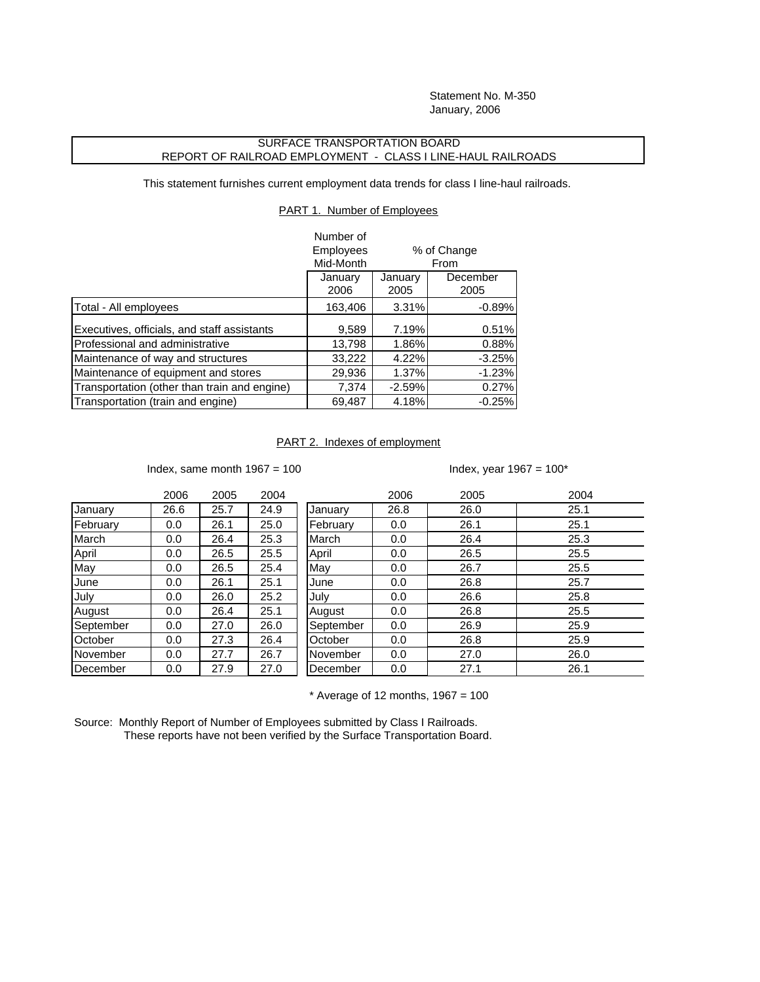Statement No. M-350 January, 2006

## SURFACE TRANSPORTATION BOARD REPORT OF RAILROAD EMPLOYMENT - CLASS I LINE-HAUL RAILROADS

This statement furnishes current employment data trends for class I line-haul railroads.

PART 1. Number of Employees

|                                              | Number of        |             |          |  |
|----------------------------------------------|------------------|-------------|----------|--|
|                                              | <b>Employees</b> | % of Change |          |  |
|                                              | Mid-Month        | From        |          |  |
|                                              | January          | January     | December |  |
|                                              | 2006             | 2005        | 2005     |  |
| Total - All employees                        | 163,406          | 3.31%       | $-0.89%$ |  |
| Executives, officials, and staff assistants  | 9,589            | 7.19%       | 0.51%    |  |
| Professional and administrative              | 13,798           | 1.86%       | 0.88%    |  |
| Maintenance of way and structures            | 33,222           | 4.22%       | $-3.25%$ |  |
| Maintenance of equipment and stores          | 29,936           | 1.37%       | $-1.23%$ |  |
| Transportation (other than train and engine) | 7,374            | $-2.59%$    | 0.27%    |  |
| Transportation (train and engine)            | 69,487           | 4.18%       | $-0.25%$ |  |

## PART 2. Indexes of employment

Index, same month  $1967 = 100$  Index, year  $1967 = 100*$ 

|           | 2006 | 2005 | 2004 |           | 2006 | 2005 | 2004 |
|-----------|------|------|------|-----------|------|------|------|
| January   | 26.6 | 25.7 | 24.9 | January   | 26.8 | 26.0 | 25.1 |
| February  | 0.0  | 26.1 | 25.0 | February  | 0.0  | 26.1 | 25.1 |
| March     | 0.0  | 26.4 | 25.3 | March     | 0.0  | 26.4 | 25.3 |
| April     | 0.0  | 26.5 | 25.5 | April     | 0.0  | 26.5 | 25.5 |
| May       | 0.0  | 26.5 | 25.4 | May       | 0.0  | 26.7 | 25.5 |
| June      | 0.0  | 26.1 | 25.1 | June      | 0.0  | 26.8 | 25.7 |
| July      | 0.0  | 26.0 | 25.2 | July      | 0.0  | 26.6 | 25.8 |
| August    | 0.0  | 26.4 | 25.1 | August    | 0.0  | 26.8 | 25.5 |
| September | 0.0  | 27.0 | 26.0 | September | 0.0  | 26.9 | 25.9 |
| October   | 0.0  | 27.3 | 26.4 | October   | 0.0  | 26.8 | 25.9 |
| November  | 0.0  | 27.7 | 26.7 | November  | 0.0  | 27.0 | 26.0 |
| December  | 0.0  | 27.9 | 27.0 | December  | 0.0  | 27.1 | 26.1 |

 $*$  Average of 12 months, 1967 = 100

Source: Monthly Report of Number of Employees submitted by Class I Railroads. These reports have not been verified by the Surface Transportation Board.